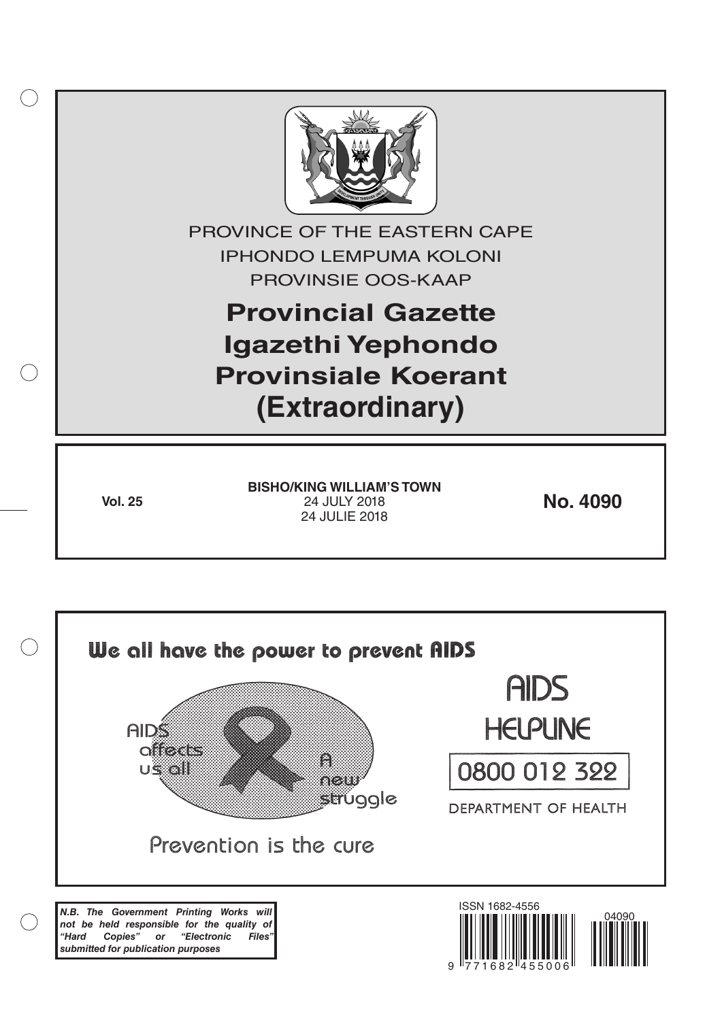

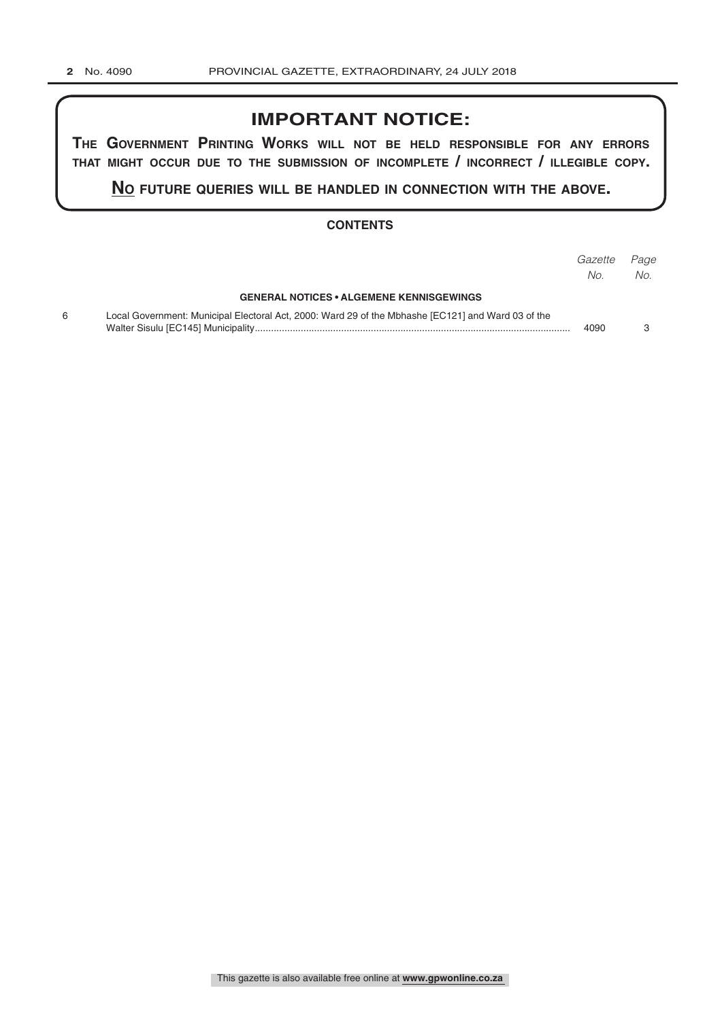# **IMPORTANT NOTICE:**

**The GovernmenT PrinTinG Works Will noT be held resPonsible for any errors ThaT miGhT occur due To The submission of incomPleTe / incorrecT / illeGible coPy.**

**no fuTure queries Will be handled in connecTion WiTh The above.**

#### **CONTENTS**

|                                                                                                    | Gazette<br>No. | Page<br>No. |
|----------------------------------------------------------------------------------------------------|----------------|-------------|
| <b>GENERAL NOTICES • ALGEMENE KENNISGEWINGS</b>                                                    |                |             |
| Local Government: Municipal Electoral Act, 2000: Ward 29 of the Mbhashe [EC121] and Ward 03 of the | 4090           |             |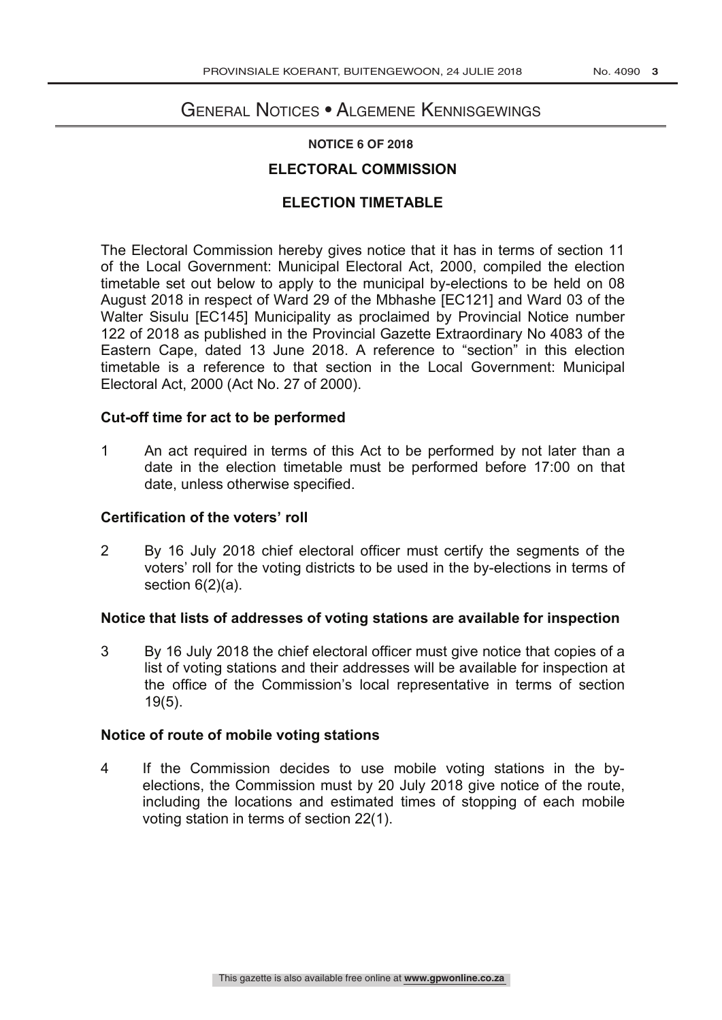# General Notices • Algemene Kennisgewings

#### **NOTICE 6 OF 2018**

# **ELECTORAL COMMISSION**

# **ELECTION TIMETABLE**

The Electoral Commission hereby gives notice that it has in terms of section 11 of the Local Government: Municipal Electoral Act, 2000, compiled the election timetable set out below to apply to the municipal by-elections to be held on 08 August 2018 in respect of Ward 29 of the Mbhashe [EC121] and Ward 03 of the Walter Sisulu [EC145] Municipality as proclaimed by Provincial Notice number 122 of 2018 as published in the Provincial Gazette Extraordinary No 4083 of the Eastern Cape, dated 13 June 2018. A reference to "section" in this election timetable is a reference to that section in the Local Government: Municipal Electoral Act, 2000 (Act No. 27 of 2000).

## **Cut-off time for act to be performed**

1 An act required in terms of this Act to be performed by not later than a date in the election timetable must be performed before 17:00 on that date, unless otherwise specified.

#### **Certification of the voters' roll**

2 By 16 July 2018 chief electoral officer must certify the segments of the voters' roll for the voting districts to be used in the by-elections in terms of section 6(2)(a).

#### **Notice that lists of addresses of voting stations are available for inspection**

3 By 16 July 2018 the chief electoral officer must give notice that copies of a list of voting stations and their addresses will be available for inspection at the office of the Commission's local representative in terms of section 19(5).

### **Notice of route of mobile voting stations**

4 If the Commission decides to use mobile voting stations in the byelections, the Commission must by 20 July 2018 give notice of the route, including the locations and estimated times of stopping of each mobile voting station in terms of section 22(1).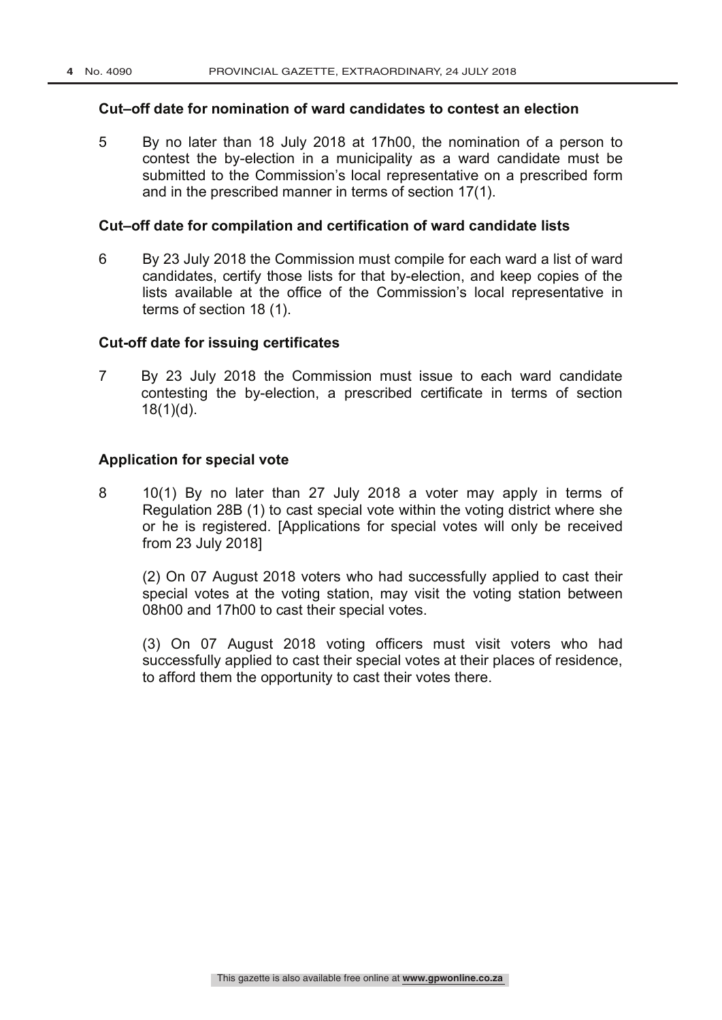#### **Cut–off date for nomination of ward candidates to contest an election**

5 By no later than 18 July 2018 at 17h00, the nomination of a person to contest the by-election in a municipality as a ward candidate must be submitted to the Commission's local representative on a prescribed form and in the prescribed manner in terms of section 17(1).

#### **Cut–off date for compilation and certification of ward candidate lists**

6 By 23 July 2018 the Commission must compile for each ward a list of ward candidates, certify those lists for that by-election, and keep copies of the lists available at the office of the Commission's local representative in terms of section 18 (1).

#### **Cut-off date for issuing certificates**

7 By 23 July 2018 the Commission must issue to each ward candidate contesting the by-election, a prescribed certificate in terms of section  $18(1)(d)$ .

#### **Application for special vote**

8 10(1) By no later than 27 July 2018 a voter may apply in terms of Regulation 28B (1) to cast special vote within the voting district where she or he is registered. [Applications for special votes will only be received from 23 July 2018]

(2) On 07 August 2018 voters who had successfully applied to cast their special votes at the voting station, may visit the voting station between 08h00 and 17h00 to cast their special votes.

(3) On 07 August 2018 voting officers must visit voters who had successfully applied to cast their special votes at their places of residence, to afford them the opportunity to cast their votes there.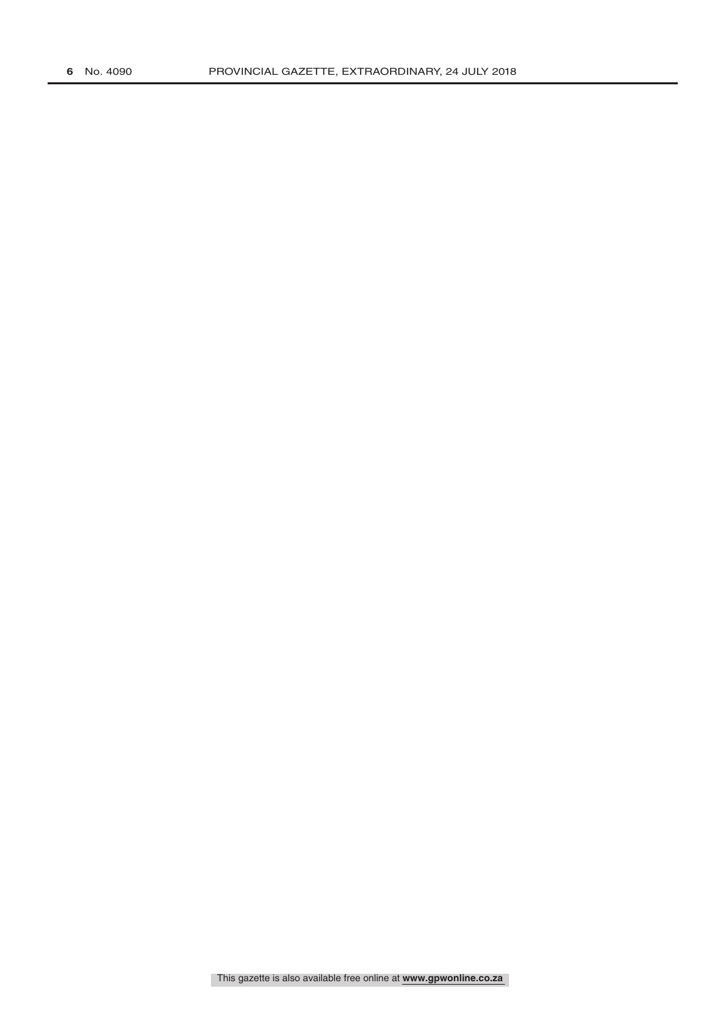This gazette is also available free online at **www.gpwonline.co.za**